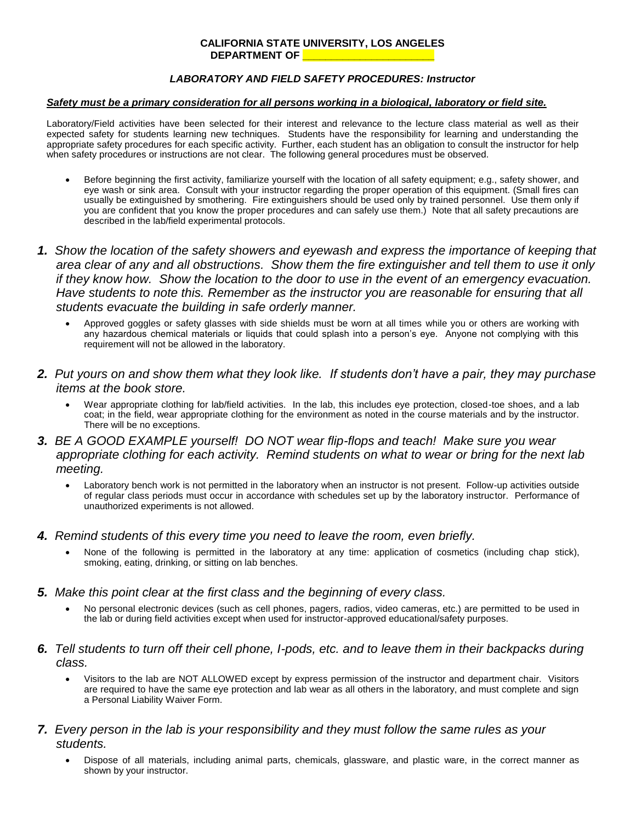#### **CALIFORNIA STATE UNIVERSITY, LOS ANGELES** DEPARTMENT OF

#### *LABORATORY AND FIELD SAFETY PROCEDURES: Instructor*

#### *Safety must be a primary consideration for all persons working in a biological, laboratory or field site.*

Laboratory/Field activities have been selected for their interest and relevance to the lecture class material as well as their expected safety for students learning new techniques. Students have the responsibility for learning and understanding the appropriate safety procedures for each specific activity. Further, each student has an obligation to consult the instructor for help when safety procedures or instructions are not clear. The following general procedures must be observed.

- Before beginning the first activity, familiarize yourself with the location of all safety equipment; e.g., safety shower, and eye wash or sink area. Consult with your instructor regarding the proper operation of this equipment. (Small fires can usually be extinguished by smothering. Fire extinguishers should be used only by trained personnel. Use them only if you are confident that you know the proper procedures and can safely use them.) Note that all safety precautions are described in the lab/field experimental protocols.
- *1. Show the location of the safety showers and eyewash and express the importance of keeping that area clear of any and all obstructions. Show them the fire extinguisher and tell them to use it only if they know how. Show the location to the door to use in the event of an emergency evacuation. Have students to note this. Remember as the instructor you are reasonable for ensuring that all students evacuate the building in safe orderly manner.*
	- Approved goggles or safety glasses with side shields must be worn at all times while you or others are working with any hazardous chemical materials or liquids that could splash into a person's eye. Anyone not complying with this requirement will not be allowed in the laboratory.
- *2. Put yours on and show them what they look like. If students don't have a pair, they may purchase items at the book store.*
	- Wear appropriate clothing for lab/field activities. In the lab, this includes eye protection, closed-toe shoes, and a lab coat; in the field, wear appropriate clothing for the environment as noted in the course materials and by the instructor. There will be no exceptions.
- *3. BE A GOOD EXAMPLE yourself! DO NOT wear flip-flops and teach! Make sure you wear appropriate clothing for each activity. Remind students on what to wear or bring for the next lab meeting.*
	- Laboratory bench work is not permitted in the laboratory when an instructor is not present. Follow-up activities outside of regular class periods must occur in accordance with schedules set up by the laboratory instructor. Performance of unauthorized experiments is not allowed.
- *4. Remind students of this every time you need to leave the room, even briefly.*
	- None of the following is permitted in the laboratory at any time: application of cosmetics (including chap stick), smoking, eating, drinking, or sitting on lab benches.
- *5. Make this point clear at the first class and the beginning of every class.*
	- No personal electronic devices (such as cell phones, pagers, radios, video cameras, etc.) are permitted to be used in the lab or during field activities except when used for instructor-approved educational/safety purposes.
- *6. Tell students to turn off their cell phone, I-pods, etc. and to leave them in their backpacks during class.*
	- Visitors to the lab are NOT ALLOWED except by express permission of the instructor and department chair. Visitors are required to have the same eye protection and lab wear as all others in the laboratory, and must complete and sign a Personal Liability Waiver Form.
- *7. Every person in the lab is your responsibility and they must follow the same rules as your students.*
	- Dispose of all materials, including animal parts, chemicals, glassware, and plastic ware, in the correct manner as shown by your instructor.